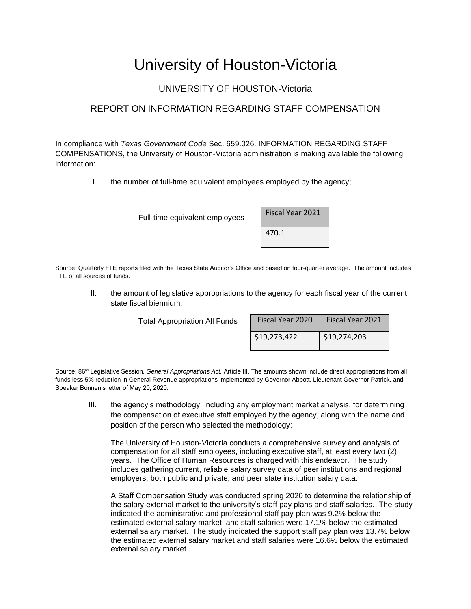## University of Houston-Victoria

## UNIVERSITY OF HOUSTON-Victoria

## REPORT ON INFORMATION REGARDING STAFF COMPENSATION

In compliance with *Texas Government Code* Sec. 659.026. INFORMATION REGARDING STAFF COMPENSATIONS, the University of Houston-Victoria administration is making available the following information:

I. the number of full-time equivalent employees employed by the agency;

Full-time equivalent employees

| Fiscal Year 2021 |  |
|------------------|--|
| 470.1            |  |

Source: Quarterly FTE reports filed with the Texas State Auditor's Office and based on four-quarter average. The amount includes FTE of all sources of funds.

II. the amount of legislative appropriations to the agency for each fiscal year of the current state fiscal biennium;

Total Appropriation All Funds

| Fiscal Year 2020 | <b>Fiscal Year 2021</b> |  |  |  |  |
|------------------|-------------------------|--|--|--|--|
| \$19,273,422     | \$19,274,203            |  |  |  |  |

Source: 86<sup>rd</sup> Legislative Session, *General Appropriations Act*, Article III. The amounts shown include direct appropriations from all funds less 5% reduction in General Revenue appropriations implemented by Governor Abbott, Lieutenant Governor Patrick, and Speaker Bonnen's letter of May 20, 2020.

III. the agency's methodology, including any employment market analysis, for determining the compensation of executive staff employed by the agency, along with the name and position of the person who selected the methodology;

The University of Houston-Victoria conducts a comprehensive survey and analysis of compensation for all staff employees, including executive staff, at least every two (2) years. The Office of Human Resources is charged with this endeavor. The study includes gathering current, reliable salary survey data of peer institutions and regional employers, both public and private, and peer state institution salary data.

A Staff Compensation Study was conducted spring 2020 to determine the relationship of the salary external market to the university's staff pay plans and staff salaries. The study indicated the administrative and professional staff pay plan was 9.2% below the estimated external salary market, and staff salaries were 17.1% below the estimated external salary market. The study indicated the support staff pay plan was 13.7% below the estimated external salary market and staff salaries were 16.6% below the estimated external salary market.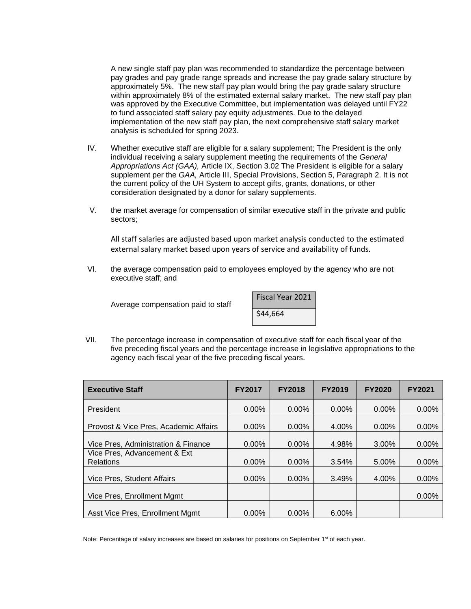A new single staff pay plan was recommended to standardize the percentage between pay grades and pay grade range spreads and increase the pay grade salary structure by approximately 5%. The new staff pay plan would bring the pay grade salary structure within approximately 8% of the estimated external salary market. The new staff pay plan was approved by the Executive Committee, but implementation was delayed until FY22 to fund associated staff salary pay equity adjustments. Due to the delayed implementation of the new staff pay plan, the next comprehensive staff salary market analysis is scheduled for spring 2023.

- IV. Whether executive staff are eligible for a salary supplement; The President is the only individual receiving a salary supplement meeting the requirements of the *General Appropriations Act (GAA),* Article IX, Section 3.02 The President is eligible for a salary supplement per the *GAA,* Article III, Special Provisions, Section 5, Paragraph 2. It is not the current policy of the UH System to accept gifts, grants, donations, or other consideration designated by a donor for salary supplements.
- V. the market average for compensation of similar executive staff in the private and public sectors;

All staff salaries are adjusted based upon market analysis conducted to the estimated external salary market based upon years of service and availability of funds.

VI. the average compensation paid to employees employed by the agency who are not executive staff; and

Average compensation paid to staff

| Fiscal Year 2021 |  |
|------------------|--|
| \$44,664         |  |

VII. The percentage increase in compensation of executive staff for each fiscal year of the five preceding fiscal years and the percentage increase in legislative appropriations to the agency each fiscal year of the five preceding fiscal years.

| <b>Executive Staff</b>                           | <b>FY2017</b> | <b>FY2018</b> | <b>FY2019</b> | <b>FY2020</b> | <b>FY2021</b> |
|--------------------------------------------------|---------------|---------------|---------------|---------------|---------------|
| President                                        | $0.00\%$      | $0.00\%$      | $0.00\%$      | $0.00\%$      | $0.00\%$      |
| Provost & Vice Pres, Academic Affairs            | $0.00\%$      | $0.00\%$      | 4.00%         | $0.00\%$      | 0.00%         |
| Vice Pres, Administration & Finance              | $0.00\%$      | $0.00\%$      | 4.98%         | 3.00%         | $0.00\%$      |
| Vice Pres, Advancement & Ext<br><b>Relations</b> | 0.00%         | 0.00%         | 3.54%         | 5.00%         | 0.00%         |
| Vice Pres, Student Affairs                       | 0.00%         | 0.00%         | 3.49%         | 4.00%         | 0.00%         |
| Vice Pres, Enrollment Mgmt                       |               |               |               |               | 0.00%         |
| Asst Vice Pres, Enrollment Mgmt                  | $0.00\%$      | $0.00\%$      | 6.00%         |               |               |

Note: Percentage of salary increases are based on salaries for positions on September 1<sup>st</sup> of each year.